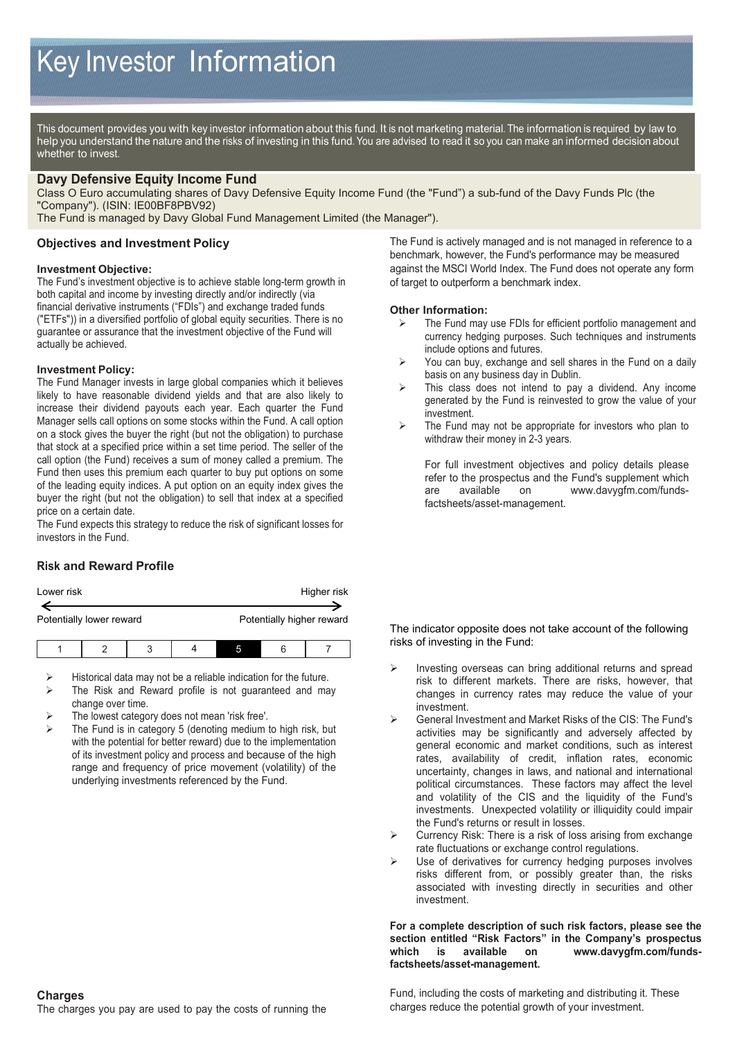This document provides you with key investor information about this fund. It is not marketing material. The information is required by law to help you understand the nature and the risks of investing in this fund. You are advised to read it so you can make an informed decision about whether to invest.

# **Davy Defensive Equity Income Fund**

Class O Euro accumulating shares of Davy Defensive Equity Income Fund (the "Fund") a sub-fund of the Davy Funds Plc (the "Company"). (ISIN: IE00BF8PBV92)

The Fund is managed by Davy Global Fund Management Limited (the Manager").

# **Objectives and Investment Policy**

### **Investment Objective:**

The Fund's investment objective is to achieve stable long-term growth in both capital and income by investing directly and/or indirectly (via financial derivative instruments ("FDIs") and exchange traded funds ("ETFs")) in a diversified portfolio of global equity securities. There is no guarantee or assurance that the investment objective of the Fund will actually be achieved.

### **Investment Policy:**

The Fund Manager invests in large global companies which it believes likely to have reasonable dividend yields and that are also likely to increase their dividend payouts each year. Each quarter the Fund Manager sells call options on some stocks within the Fund. A call option on a stock gives the buyer the right (but not the obligation) to purchase that stock at a specified price within a set time period. The seller of the call option (the Fund) receives a sum of money called a premium. The Fund then uses this premium each quarter to buy put options on some of the leading equity indices. A put option on an equity index gives the buyer the right (but not the obligation) to sell that index at a specified price on a certain date.

The Fund expects this strategy to reduce the risk of significant losses for investors in the Fund.

# **Risk and Reward Profile**

| Lower risk | Higher risk |
|------------|-------------|
|            |             |

| LUWUI 113N               | <u>HIYHGI HON</u>         |
|--------------------------|---------------------------|
|                          |                           |
|                          |                           |
| Potentially lower reward | Potentially higher reward |
|                          |                           |
|                          |                           |

- Historical data may not be a reliable indication for the future.
- > The Risk and Reward profile is not guaranteed and may change over time.
- The lowest category does not mean 'risk free'.
- The Fund is in category 5 (denoting medium to high risk, but with the potential for better reward) due to the implementation of its investment policy and process and because of the high range and frequency of price movement (volatility) of the underlying investments referenced by the Fund.

The Fund is actively managed and is not managed in reference to a benchmark, however, the Fund's performance may be measured against the MSCI World Index. The Fund does not operate any form of target to outperform a benchmark index.

### **Other Information:**

- The Fund may use FDIs for efficient portfolio management and currency hedging purposes. Such techniques and instruments include options and futures.
- $\triangleright$  You can buy, exchange and sell shares in the Fund on a daily basis on any business day in Dublin.
- $\triangleright$  This class does not intend to pay a dividend. Any income generated by the Fund is reinvested to grow the value of your investment.
- $\triangleright$  The Fund may not be appropriate for investors who plan to withdraw their money in 2-3 years.

For full investment objectives and policy details please refer to the prospectus and the Fund's supplement which are available on www.davygfm.com/fundsfactsheets/asset-management.

#### The indicator opposite does not take account of the following risks of investing in the Fund:

- Investing overseas can bring additional returns and spread risk to different markets. There are risks, however, that changes in currency rates may reduce the value of your investment.
- General Investment and Market Risks of the CIS: The Fund's activities may be significantly and adversely affected by general economic and market conditions, such as interest rates, availability of credit, inflation rates, economic uncertainty, changes in laws, and national and international political circumstances. These factors may affect the level and volatility of the CIS and the liquidity of the Fund's investments. Unexpected volatility or illiquidity could impair the Fund's returns or result in losses.
- Currency Risk: There is a risk of loss arising from exchange rate fluctuations or exchange control regulations.
- Use of derivatives for currency hedging purposes involves risks different from, or possibly greater than, the risks associated with investing directly in securities and other investment.

#### **For a complete description of such risk factors, please see the section entitled "Risk Factors" in the Company's prospectus which is available on www.davygfm.com/fundsfactsheets/asset-management.**

Fund, including the costs of marketing and distributing it. These charges reduce the potential growth of your investment.